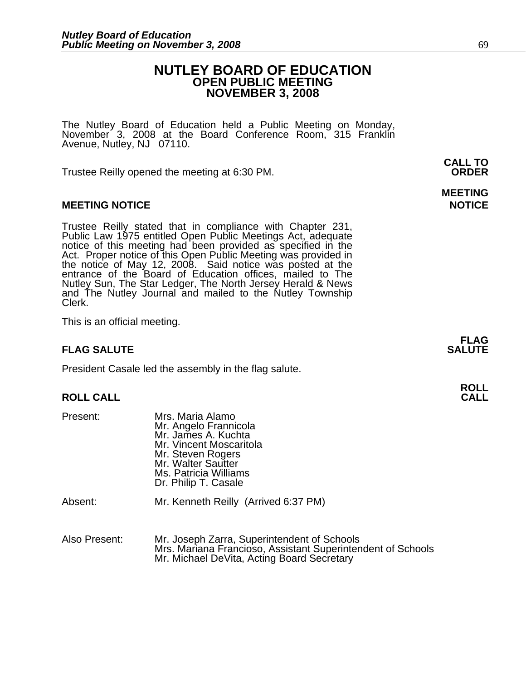## **NUTLEY BOARD OF EDUCATION OPEN PUBLIC MEETING NOVEMBER 3, 2008**

**MEETING** 

The Nutley Board of Education held a Public Meeting on Monday, November 3, 2008 at the Board Conference Room, 315 Franklin Avenue, Nutley, NJ 07110.

Trustee Reilly opened the meeting at 6:30 PM. **ORDER**

#### **MEETING NOTICE NOTICE AND INCOMEDIATE**

Trustee Reilly stated that in compliance with Chapter 231,<br>Public Law 1975 entitled Open Public Meetings Act, adequate<br>notice of this meeting had been provided as specified in the<br>Act. Proper notice of this Open Public Mee the notice of May 12, 2008. Said notice was posted at the<br>entrance of the Board of Education offices, mailed to The Nutley Sun, The Star Ledger, The North Jersey Herald & News and The Nutley Journal and mailed to the Nutley Township Clerk.

This is an official meeting.

### **FLAG SALUTE** SALUTE

President Casale led the assembly in the flag salute.

# **ROLL ROLL CALL CALL**

| Present: | Mrs. Maria Alamo<br>Mr. Angelo Frannicola<br>Mr. James A. Kuchta<br>Mr. Vincent Moscaritola<br>Mr. Steven Rogers<br>Mr. Walter Sautter<br>Ms. Patricia Williams<br>Dr. Philip T. Casale |
|----------|-----------------------------------------------------------------------------------------------------------------------------------------------------------------------------------------|
| Absent:  | Mr. Kenneth Reilly (Arrived 6:37 PM)                                                                                                                                                    |
|          |                                                                                                                                                                                         |

| Also Present: | Mr. Joseph Zarra, Superintendent of Schools                 |
|---------------|-------------------------------------------------------------|
|               | Mrs. Mariana Francioso, Assistant Superintendent of Schools |
|               | Mr. Michael DeVita, Acting Board Secretary                  |

**FLAG**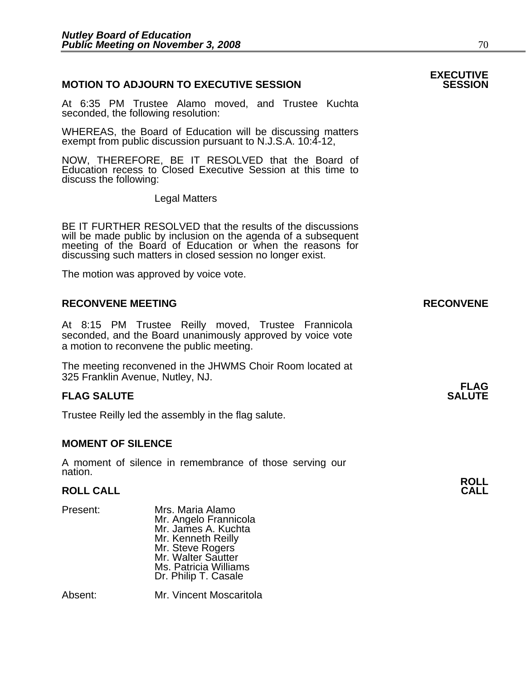#### **MOTION TO ADJOURN TO EXECUTIVE SESSION**

At 6:35 PM Trustee Alamo moved, and Trustee Kuchta seconded, the following resolution:

WHEREAS, the Board of Education will be discussing matters exempt from public discussion pursuant to N.J.S.A. 10:4-12,

NOW, THEREFORE, BE IT RESOLVED that the Board of Education recess to Closed Executive Session at this time to discuss the following:

Legal Matters

BE IT FURTHER RESOLVED that the results of the discussions will be made public by inclusion on the agenda of a subsequent meeting of the Board of Education or when the reasons for discussing such matters in closed session no longer exist.

The motion was approved by voice vote.

#### **RECONVENE MEETING RECONVENE**

At 8:15 PM Trustee Reilly moved, Trustee Frannicola seconded, and the Board unanimously approved by voice vote a motion to reconvene the public meeting.

The meeting reconvened in the JHWMS Choir Room located at 325 Franklin Avenue, Nutley, NJ.

#### **FLAG SALUTE** SALUTE SALUTE SALUTE SALUTE SALUTE

Trustee Reilly led the assembly in the flag salute.

#### **MOMENT OF SILENCE**

A moment of silence in remembrance of those serving our nation.

# **ROLL ROLL CALL CALL**

Present: Mrs. Maria Alamo Mr. Angelo Frannicola Mr. James A. Kuchta Mr. Kenneth Reilly Mr. Steve Rogers Mr. Walter Sautter Ms. Patricia Williams Dr. Philip T. Casale

Absent: Mr. Vincent Moscaritola

# **EXECUTIVE**

**FLAG**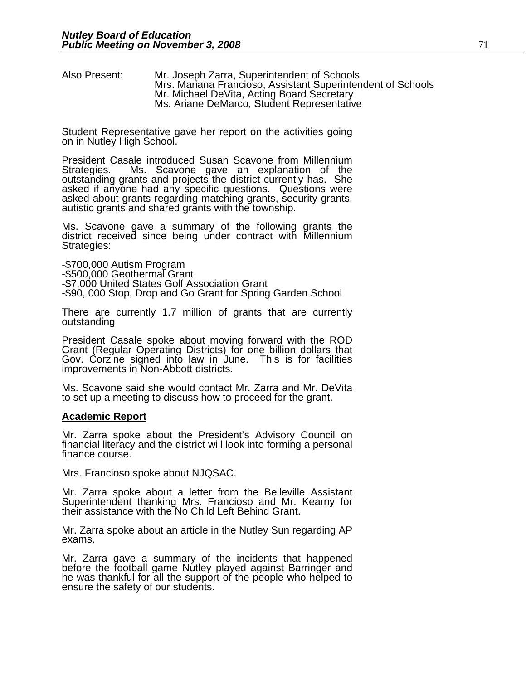Also Present: Mr. Joseph Zarra, Superintendent of Schools Mrs. Mariana Francioso, Assistant Superintendent of Schools Mr. Michael DeVita, Acting Board Secretary<br>Ms. Ariane DeMarco, Student Representative

Student Representative gave her report on the activities going on in Nutley High School.

President Casale introduced Susan Scavone from Millennium<br>Strategies. Ms. Scavone gave an explanation of the outstanding grants and projects the district currently has. She asked if anyone had any specific questions. Questions were asked about grants regarding matching grants, security grants, autistic grants and shared grants wi

Ms. Scavone gave a summary of the following grants the district received since being under contract with Millennium Strategies:

-\$700,000 Autism Program -\$500,000 Geothermal Grant -\$7,000 United States Golf Association Grant -\$90, 000 Stop, Drop and Go Grant for Spring Garden School

There are currently 1.7 million of grants that are currently outstanding

President Casale spoke about moving forward with the ROD Grant (Regular Operating Districts) for one billion dollars that Gov. Corzine signed into law in June. This is for facilities improvements in Non-Abbott districts.

Ms. Scavone said she would contact Mr. Zarra and Mr. DeVita to set up a meeting to discuss how to proceed for the grant.

#### **Academic Report**

Mr. Zarra spoke about the President's Advisory Council on financial literacy and the district will look into forming a personal finance course.

Mrs. Francioso spoke about NJQSAC.

Mr. Zarra spoke about a letter from the Belleville Assistant Superintendent thanking Mrs. Francioso and Mr. Kearny for<br>their assistance with the No Child Left Behind Grant.

Mr. Zarra spoke about an article in the Nutley Sun regarding AP exams.

Mr. Zarra gave a summary of the incidents that happened before the football game Nutley played against Barringer and he was thankful for all the support of the people who helped to ensure the safety of our students.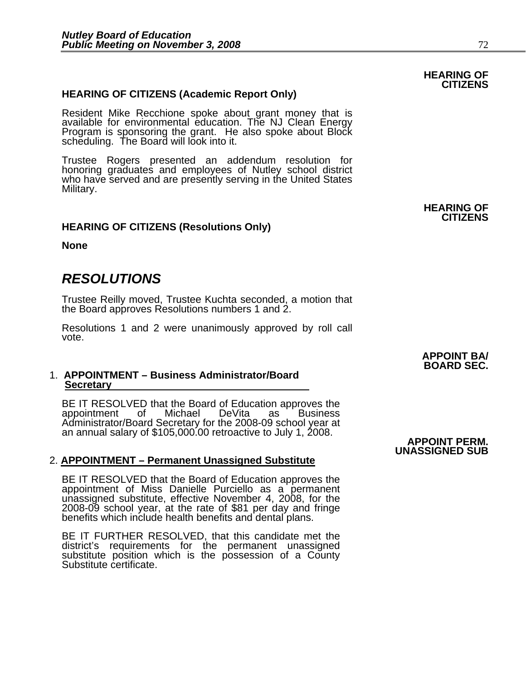#### **HEARING OF CITIZENS (Academic Report Only)**

Resident Mike Recchione spoke about grant money that is available for environmental education. The NJ Clean Energy Program is sponsoring the grant. He also spoke about Block scheduling. The Board will look into it.

Trustee Rogers presented an addendum resolution for honoring graduates and employees of Nutley school district who have served and are presently serving in the United States Military.

#### **HEARING OF CITIZENS (Resolutions Only)**

**None** 

## *RESOLUTIONS*

Trustee Reilly moved, Trustee Kuchta seconded, a motion that the Board approves Resolutions numbers 1 and 2.

Resolutions 1 and 2 were unanimously approved by roll call vote.

#### 1. **APPOINTMENT – Business Administrator/Board Secretary**

BE IT RESOLVED that the Board of Education approves the appointment of Michael DeVita as Business<br>Administrator/Board Secretary for the 2008-09 school year at an annual salary of \$105,000.00 retroactive to July 1, 2008. **APPOINT PERM.** 

#### 2. **APPOINTMENT – Permanent Unassigned Substitute**

BE IT RESOLVED that the Board of Education approves the appointment of Miss Danielle Purciello as a permanent unassigned substitute, effective November 4, 2008, for the 2008-09 school year, at the rate of \$81 per day and fringe benefits which include health benefits and dental plans.

BE IT FURTHER RESOLVED, that this candidate met the district's requirements for the permanent unassigned substitute position which is the possession of a County Substitute certificate. **APPOINT BA/ BOARD SEC.** 

**UNASSIGNED SUB** 

#### **HEARING OF CITIZENS**

**HEARING OF CITIZENS**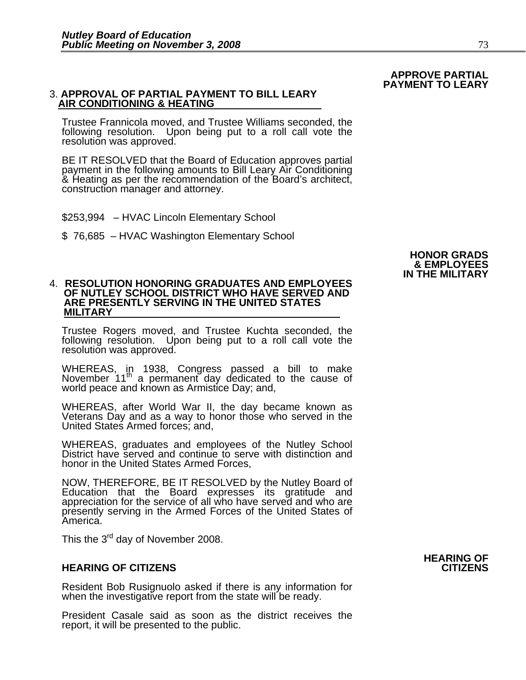#### 3. **APPROVAL OF PARTIAL PAYMENT TO BILL LEARY AIR CONDITIONING & HEATING**

Trustee Frannicola moved, and Trustee Williams seconded, the following resolution. Upon being put to a roll call vote the resolution was approved.

BE IT RESOLVED that the Board of Education approves partial payment in the following amounts to Bill Leary Air Conditioning & Heating as per the recommendation of the Board's architect, construction manager and attorney.

- \$253,994 HVAC Lincoln Elementary School
- \$ 76,685 HVAC Washington Elementary School

## 4. **RESOLUTION HONORING GRADUATES AND EMPLOYEES OF NUTLEY SCHOOL DISTRICT WHO HAVE SERVED AND ARE PRESENTLY SERVING IN THE UNITED STATES MILITARY**

Trustee Rogers moved, and Trustee Kuchta seconded, the following resolution. Upon being put to a roll call vote the resolution was approved.

WHEREAS, in 1938, Congress passed a bill to make November 11<sup>th</sup> a permanent day dedicated to the cause of world peace and known as Armistice Day; and,

WHEREAS, after World War II, the day became known as Veterans Day and as a way to honor those who served in the United States Armed forces; and,

WHEREAS, graduates and employees of the Nutley School District have served and continue to serve with distinction and honor in the United States Armed Forces,

NOW, THEREFORE, BE IT RESOLVED by the Nutley Board of Education that the Board expresses its gratitude and appreciation for the service of all who have served and who are presently serving in the Armed Forces of the United States of America.

This the 3<sup>rd</sup> day of November 2008.

#### **HEARING OF CITIZENS CITIZENS**

Resident Bob Rusignuolo asked if there is any information for when the investigative report from the state will be ready.

President Casale said as soon as the district receives the report, it will be presented to the public.

#### **HONOR GRADS & EMPLOYEES IN THE MILITARY**

 **APPROVE PARTIAL PAYMENT TO LEARY** 

# **HEARING OF**